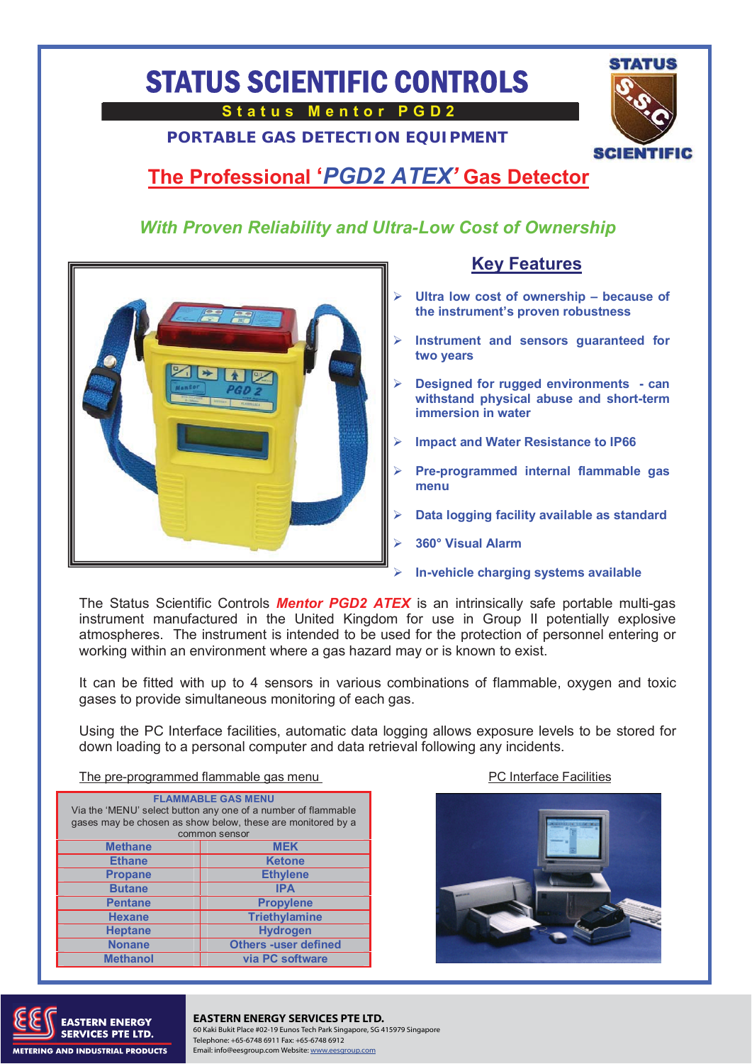# STATUS SCIENTIFIC CONTROLS

**Status Mentor PGD2** 

**PORTABLE GAS DETECTION EQUIPMENT**



## **The Professional '***PGD2 ATEX'* **Gas Detector**

#### *With Proven Reliability and Ultra-Low Cost of Ownership*



#### **Key Features**

- **Ultra low cost of ownership because of the instrument's proven robustness**
- **Instrument and sensors guaranteed for two years**
- **Designed for rugged environments can withstand physical abuse and short-term immersion in water**
- **Impact and Water Resistance to IP66**
- **Pre-programmed internal flammable gas menu**
- **Data logging facility available as standard**
- **360° Visual Alarm**
- **In-vehicle charging systems available**

The Status Scientific Controls *Mentor PGD2 ATEX* is an intrinsically safe portable multi-gas instrument manufactured in the United Kingdom for use in Group II potentially explosive atmospheres. The instrument is intended to be used for the protection of personnel entering or working within an environment where a gas hazard may or is known to exist.

It can be fitted with up to 4 sensors in various combinations of flammable, oxygen and toxic gases to provide simultaneous monitoring of each gas.

Using the PC Interface facilities, automatic data logging allows exposure levels to be stored for down loading to a personal computer and data retrieval following any incidents.

The pre-programmed flammable gas menu **PC** Interface Facilities

| <b>FLAMMABLE GAS MENU</b><br>Via the 'MENU' select button any one of a number of flammable<br>gases may be chosen as show below, these are monitored by a<br>common sensor |                             |  |
|----------------------------------------------------------------------------------------------------------------------------------------------------------------------------|-----------------------------|--|
| <b>Methane</b>                                                                                                                                                             | <b>MEK</b>                  |  |
| <b>Ethane</b>                                                                                                                                                              | <b>Ketone</b>               |  |
| <b>Propane</b>                                                                                                                                                             | <b>Ethylene</b>             |  |
| <b>Butane</b>                                                                                                                                                              | <b>IPA</b>                  |  |
| <b>Pentane</b>                                                                                                                                                             | <b>Propylene</b>            |  |
| <b>Hexane</b>                                                                                                                                                              | <b>Triethylamine</b>        |  |
| <b>Heptane</b>                                                                                                                                                             | <b>Hydrogen</b>             |  |
| <b>Nonane</b>                                                                                                                                                              | <b>Others -user defined</b> |  |
| <b>Methanol</b>                                                                                                                                                            | via PC software             |  |





### TERN ENERGY **EASTERN ENERGY SERVICES PTE LTD.**

60 Kaki Bukit Place #02-19 Eunos Tech Park Singapore, SG 415979 Singapore Telephone: +65-6748 6911 Fax: +65-6748 6912 Email: info@eesgroup.com Website: www.eesgroup.com